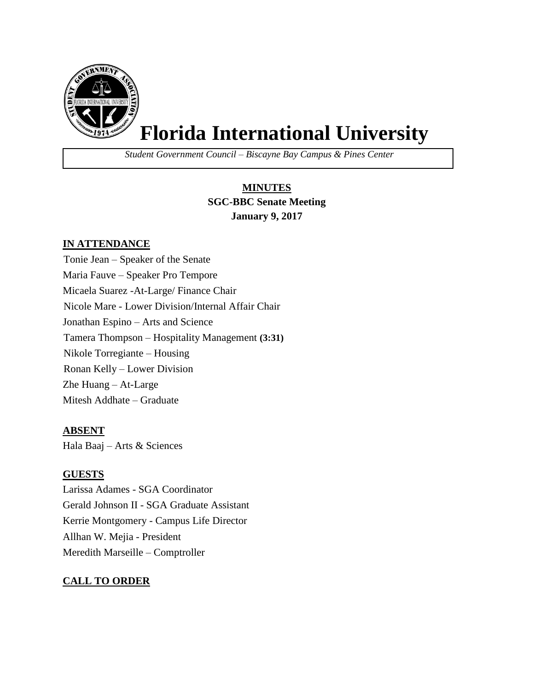

# **Florida International University**

*Student Government Council – Biscayne Bay Campus & Pines Center*

## **MINUTES SGC-BBC Senate Meeting January 9, 2017**

## **IN ATTENDANCE**

Tonie Jean – Speaker of the Senate Maria Fauve – Speaker Pro Tempore Micaela Suarez -At-Large/ Finance Chair Nicole Mare - Lower Division/Internal Affair Chair Jonathan Espino – Arts and Science Tamera Thompson – Hospitality Management **(3:31)** Nikole Torregiante – Housing Ronan Kelly – Lower Division Zhe Huang – At-Large Mitesh Addhate – Graduate

## **ABSENT**

Hala Baaj – Arts & Sciences

## **GUESTS**

Larissa Adames - SGA Coordinator Gerald Johnson II - SGA Graduate Assistant Kerrie Montgomery - Campus Life Director Allhan W. Mejia - President Meredith Marseille – Comptroller

## **CALL TO ORDER**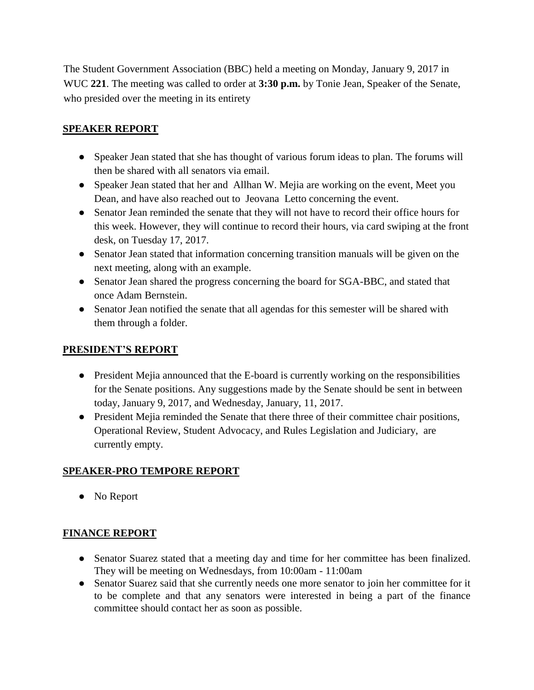The Student Government Association (BBC) held a meeting on Monday, January 9, 2017 in WUC **221**. The meeting was called to order at **3:30 p.m.** by Tonie Jean, Speaker of the Senate, who presided over the meeting in its entirety

## **SPEAKER REPORT**

- Speaker Jean stated that she has thought of various forum ideas to plan. The forums will then be shared with all senators via email.
- Speaker Jean stated that her and Allhan W. Mejia are working on the event, Meet you Dean, and have also reached out to Jeovana Letto concerning the event.
- Senator Jean reminded the senate that they will not have to record their office hours for this week. However, they will continue to record their hours, via card swiping at the front desk, on Tuesday 17, 2017.
- Senator Jean stated that information concerning transition manuals will be given on the next meeting, along with an example.
- Senator Jean shared the progress concerning the board for SGA-BBC, and stated that once Adam Bernstein.
- Senator Jean notified the senate that all agendas for this semester will be shared with them through a folder.

## **PRESIDENT'S REPORT**

- President Mejia announced that the E-board is currently working on the responsibilities for the Senate positions. Any suggestions made by the Senate should be sent in between today, January 9, 2017, and Wednesday, January, 11, 2017.
- President Mejia reminded the Senate that there three of their committee chair positions, Operational Review, Student Advocacy, and Rules Legislation and Judiciary, are currently empty.

## **SPEAKER-PRO TEMPORE REPORT**

● No Report

## **FINANCE REPORT**

- Senator Suarez stated that a meeting day and time for her committee has been finalized. They will be meeting on Wednesdays, from 10:00am - 11:00am
- Senator Suarez said that she currently needs one more senator to join her committee for it to be complete and that any senators were interested in being a part of the finance committee should contact her as soon as possible.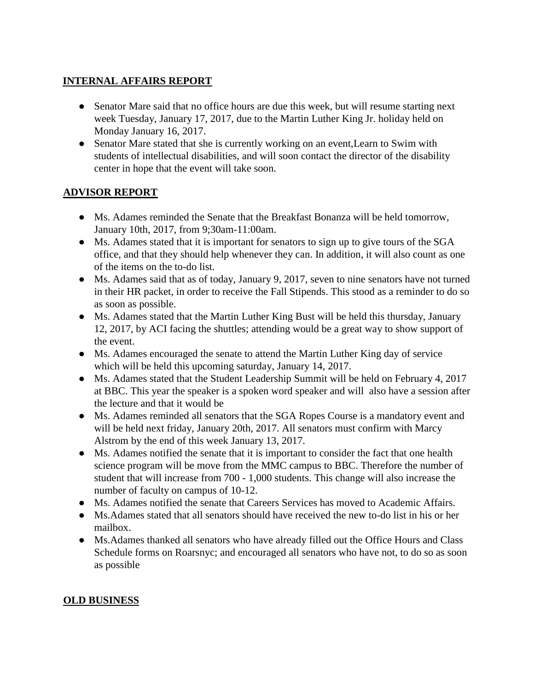## **INTERNAL AFFAIRS REPORT**

- Senator Mare said that no office hours are due this week, but will resume starting next week Tuesday, January 17, 2017, due to the Martin Luther King Jr. holiday held on Monday January 16, 2017.
- Senator Mare stated that she is currently working on an event,Learn to Swim with students of intellectual disabilities, and will soon contact the director of the disability center in hope that the event will take soon.

#### **ADVISOR REPORT**

- Ms. Adames reminded the Senate that the Breakfast Bonanza will be held tomorrow, January 10th, 2017, from 9;30am-11:00am.
- Ms. Adames stated that it is important for senators to sign up to give tours of the SGA office, and that they should help whenever they can. In addition, it will also count as one of the items on the to-do list.
- Ms. Adames said that as of today, January 9, 2017, seven to nine senators have not turned in their HR packet, in order to receive the Fall Stipends. This stood as a reminder to do so as soon as possible.
- Ms. Adames stated that the Martin Luther King Bust will be held this thursday, January 12, 2017, by ACI facing the shuttles; attending would be a great way to show support of the event.
- Ms. Adames encouraged the senate to attend the Martin Luther King day of service which will be held this upcoming saturday, January 14, 2017.
- Ms. Adames stated that the Student Leadership Summit will be held on February 4, 2017 at BBC. This year the speaker is a spoken word speaker and will also have a session after the lecture and that it would be
- Ms. Adames reminded all senators that the SGA Ropes Course is a mandatory event and will be held next friday, January 20th, 2017. All senators must confirm with Marcy Alstrom by the end of this week January 13, 2017.
- Ms. Adames notified the senate that it is important to consider the fact that one health science program will be move from the MMC campus to BBC. Therefore the number of student that will increase from 700 - 1,000 students. This change will also increase the number of faculty on campus of 10-12.
- Ms. Adames notified the senate that Careers Services has moved to Academic Affairs.
- Ms.Adames stated that all senators should have received the new to-do list in his or her mailbox.
- Ms.Adames thanked all senators who have already filled out the Office Hours and Class Schedule forms on Roarsnyc; and encouraged all senators who have not, to do so as soon as possible

#### **OLD BUSINESS**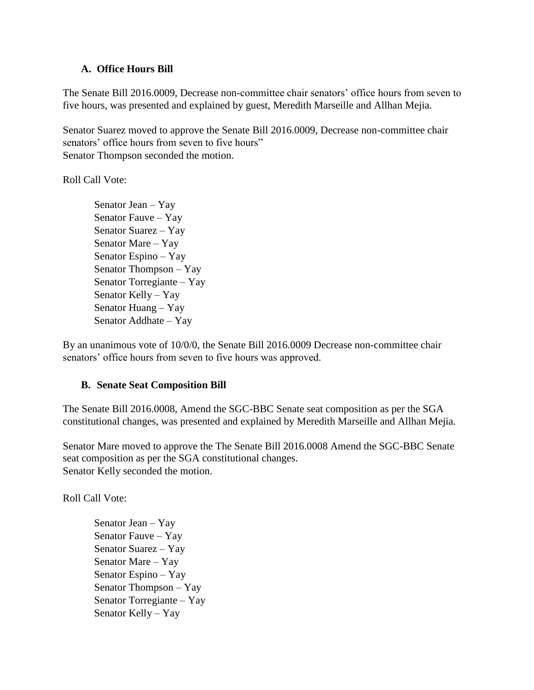#### **A. Office Hours Bill**

The Senate Bill 2016.0009, Decrease non-committee chair senators' office hours from seven to five hours, was presented and explained by guest, Meredith Marseille and Allhan Mejia.

Senator Suarez moved to approve the Senate Bill 2016.0009, Decrease non-committee chair senators' office hours from seven to five hours" Senator Thompson seconded the motion.

Roll Call Vote:

Senator Jean – Yay Senator Fauve – Yay Senator Suarez – Yay Senator Mare – Yay Senator Espino – Yay Senator Thompson – Yay Senator Torregiante – Yay Senator Kelly – Yay Senator Huang – Yay Senator Addhate – Yay

By an unanimous vote of 10/0/0, the Senate Bill 2016.0009 Decrease non-committee chair senators' office hours from seven to five hours was approved.

#### **B. Senate Seat Composition Bill**

The Senate Bill 2016.0008, Amend the SGC-BBC Senate seat composition as per the SGA constitutional changes, was presented and explained by Meredith Marseille and Allhan Mejia.

Senator Mare moved to approve the The Senate Bill 2016.0008 Amend the SGC-BBC Senate seat composition as per the SGA constitutional changes. Senator Kelly seconded the motion.

Roll Call Vote:

Senator Jean – Yay Senator Fauve – Yay Senator Suarez – Yay Senator Mare – Yay Senator Espino – Yay Senator Thompson – Yay Senator Torregiante – Yay Senator Kelly – Yay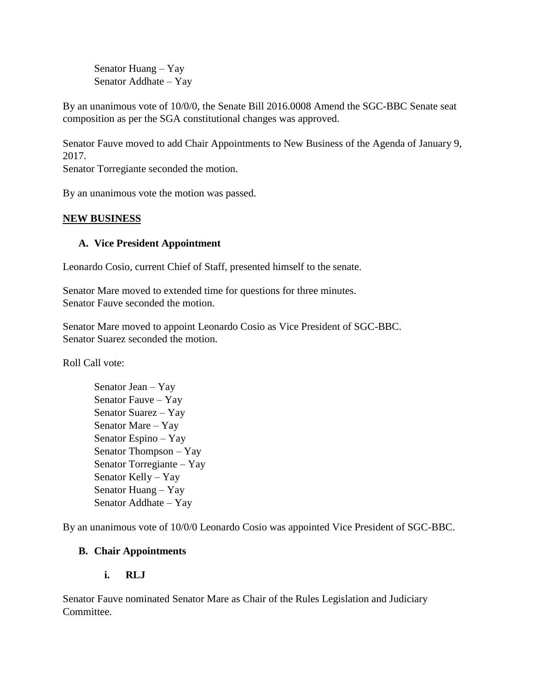Senator Huang – Yay Senator Addhate – Yay

By an unanimous vote of 10/0/0, the Senate Bill 2016.0008 Amend the SGC-BBC Senate seat composition as per the SGA constitutional changes was approved.

Senator Fauve moved to add Chair Appointments to New Business of the Agenda of January 9, 2017.

Senator Torregiante seconded the motion.

By an unanimous vote the motion was passed.

## **NEW BUSINESS**

## **A. Vice President Appointment**

Leonardo Cosio, current Chief of Staff, presented himself to the senate.

Senator Mare moved to extended time for questions for three minutes. Senator Fauve seconded the motion.

Senator Mare moved to appoint Leonardo Cosio as Vice President of SGC-BBC. Senator Suarez seconded the motion.

Roll Call vote:

Senator Jean – Yay Senator Fauve – Yay Senator Suarez – Yay Senator Mare – Yay Senator Espino – Yay Senator Thompson – Yay Senator Torregiante – Yay Senator Kelly – Yay Senator Huang – Yay Senator Addhate – Yay

By an unanimous vote of 10/0/0 Leonardo Cosio was appointed Vice President of SGC-BBC.

## **B. Chair Appointments**

## **i. RLJ**

Senator Fauve nominated Senator Mare as Chair of the Rules Legislation and Judiciary Committee.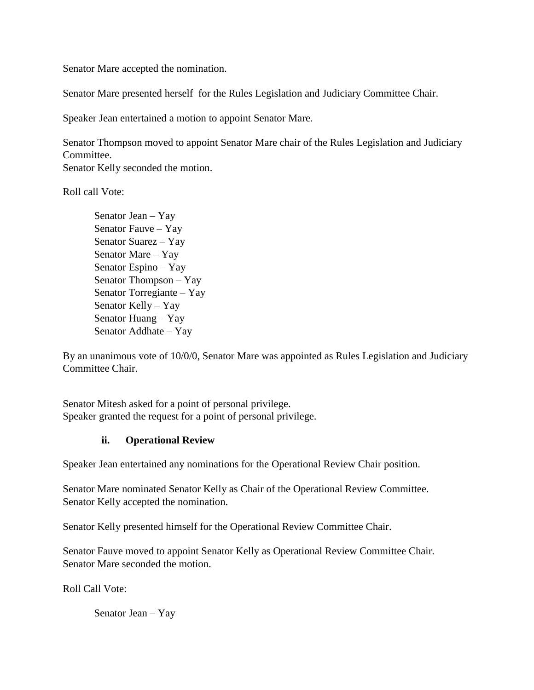Senator Mare accepted the nomination.

Senator Mare presented herself for the Rules Legislation and Judiciary Committee Chair.

Speaker Jean entertained a motion to appoint Senator Mare.

Senator Thompson moved to appoint Senator Mare chair of the Rules Legislation and Judiciary Committee. Senator Kelly seconded the motion.

Roll call Vote:

Senator Jean – Yay Senator Fauve – Yay Senator Suarez – Yay Senator Mare – Yay Senator Espino – Yay Senator Thompson – Yay Senator Torregiante – Yay Senator Kelly – Yay Senator Huang – Yay Senator Addhate – Yay

By an unanimous vote of 10/0/0, Senator Mare was appointed as Rules Legislation and Judiciary Committee Chair.

Senator Mitesh asked for a point of personal privilege. Speaker granted the request for a point of personal privilege.

#### **ii. Operational Review**

Speaker Jean entertained any nominations for the Operational Review Chair position.

Senator Mare nominated Senator Kelly as Chair of the Operational Review Committee. Senator Kelly accepted the nomination.

Senator Kelly presented himself for the Operational Review Committee Chair.

Senator Fauve moved to appoint Senator Kelly as Operational Review Committee Chair. Senator Mare seconded the motion.

Roll Call Vote:

Senator Jean – Yay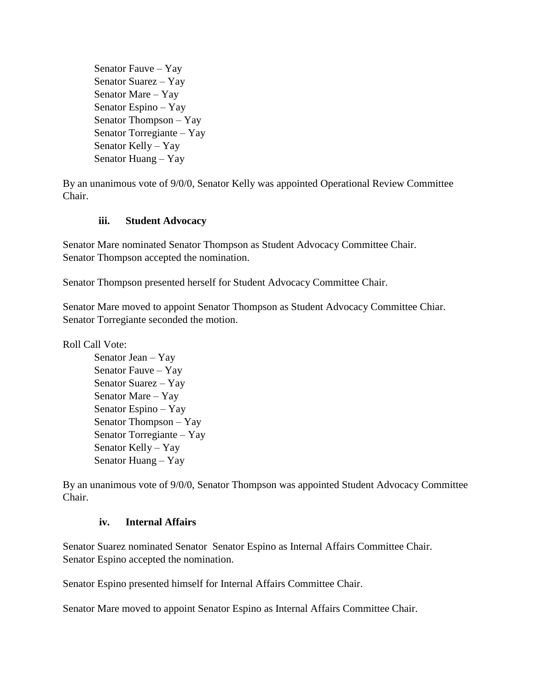Senator Fauve – Yay Senator Suarez – Yay Senator Mare – Yay Senator Espino – Yay Senator Thompson – Yay Senator Torregiante – Yay Senator Kelly – Yay Senator Huang – Yay

By an unanimous vote of 9/0/0, Senator Kelly was appointed Operational Review Committee Chair.

#### **iii. Student Advocacy**

Senator Mare nominated Senator Thompson as Student Advocacy Committee Chair. Senator Thompson accepted the nomination.

Senator Thompson presented herself for Student Advocacy Committee Chair.

Senator Mare moved to appoint Senator Thompson as Student Advocacy Committee Chiar. Senator Torregiante seconded the motion.

Roll Call Vote:

Senator Jean – Yay Senator Fauve – Yay Senator Suarez – Yay Senator Mare – Yay Senator Espino – Yay Senator Thompson – Yay Senator Torregiante – Yay Senator Kelly – Yay Senator Huang – Yay

By an unanimous vote of 9/0/0, Senator Thompson was appointed Student Advocacy Committee Chair.

#### **iv. Internal Affairs**

Senator Suarez nominated Senator Senator Espino as Internal Affairs Committee Chair. Senator Espino accepted the nomination.

Senator Espino presented himself for Internal Affairs Committee Chair.

Senator Mare moved to appoint Senator Espino as Internal Affairs Committee Chair.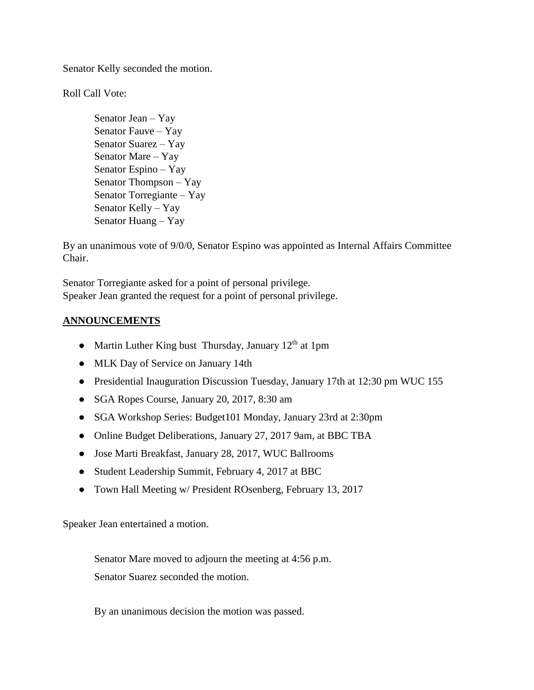Senator Kelly seconded the motion.

Roll Call Vote:

Senator Jean – Yay Senator Fauve – Yay Senator Suarez – Yay Senator Mare – Yay Senator Espino – Yay Senator Thompson – Yay Senator Torregiante – Yay Senator Kelly – Yay Senator Huang – Yay

By an unanimous vote of 9/0/0, Senator Espino was appointed as Internal Affairs Committee Chair.

Senator Torregiante asked for a point of personal privilege. Speaker Jean granted the request for a point of personal privilege.

#### **ANNOUNCEMENTS**

- Martin Luther King bust Thursday, January  $12<sup>th</sup>$  at 1pm
- MLK Day of Service on January 14th
- Presidential Inauguration Discussion Tuesday, January 17th at 12:30 pm WUC 155
- SGA Ropes Course, January 20, 2017, 8:30 am
- SGA Workshop Series: Budget101 Monday, January 23rd at 2:30pm
- Online Budget Deliberations, January 27, 2017 9am, at BBC TBA
- Jose Marti Breakfast, January 28, 2017, WUC Ballrooms
- Student Leadership Summit, February 4, 2017 at BBC
- Town Hall Meeting w/ President ROsenberg, February 13, 2017

Speaker Jean entertained a motion.

Senator Mare moved to adjourn the meeting at 4:56 p.m. Senator Suarez seconded the motion.

By an unanimous decision the motion was passed.